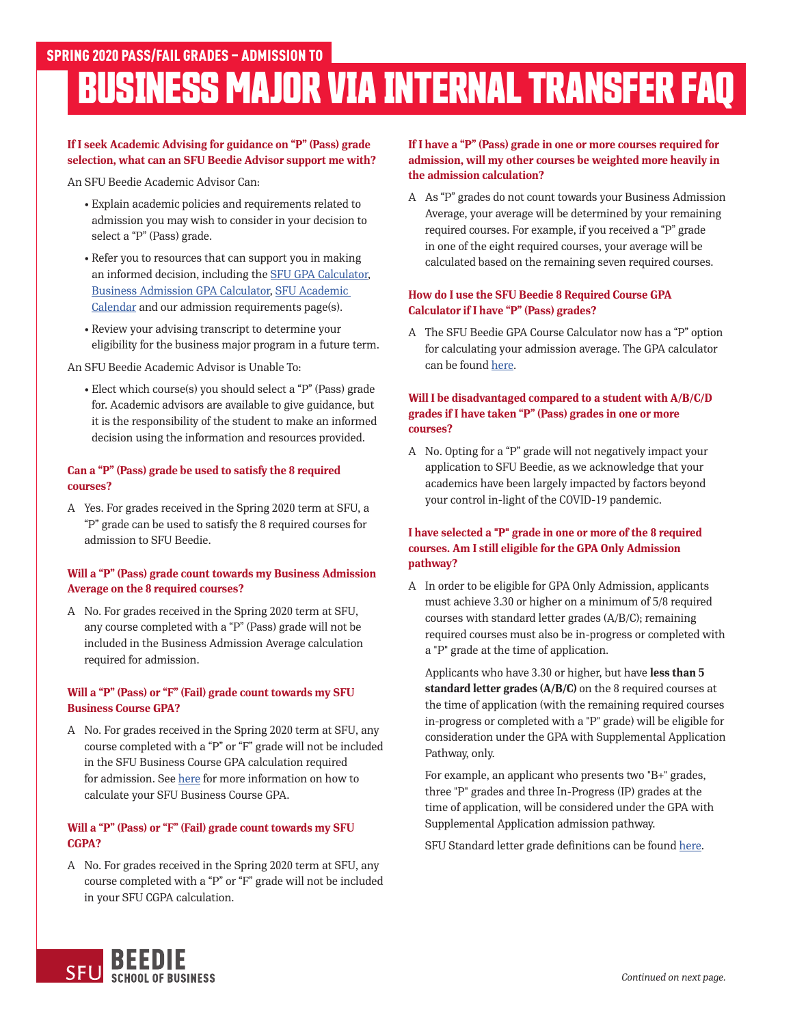# **BUSINESS MAJOR VIA INTERNAL TRANSFER FAQ**

# **If I seek Academic Advising for guidance on "P" (Pass) grade selection, what can an SFU Beedie Advisor support me with?**

An SFU Beedie Academic Advisor Can:

- Explain academic policies and requirements related to admission you may wish to consider in your decision to select a "P" (Pass) grade.
- Refer you to resources that can support you in making an informed decision, including the [SFU GPA Calculator](https://www.sfu.ca/students/advising-resources/calculators/gpa-calculator.html), [Business Admission GPA Calculator](https://beedie.sfu.ca/programs/undergraduate/bba-major/requirements/gpa-calculator-major), [SFU Academic](https://www.sfu.ca/students/calendar/2020/spring.html)  [Calendar](https://www.sfu.ca/students/calendar/2020/spring.html) and our admission requirements page(s).
- Review your advising transcript to determine your eligibility for the business major program in a future term.

An SFU Beedie Academic Advisor is Unable To:

• Elect which course(s) you should select a "P" (Pass) grade for. Academic advisors are available to give guidance, but it is the responsibility of the student to make an informed decision using the information and resources provided.

### **Can a "P" (Pass) grade be used to satisfy the 8 required courses?**

A Yes. For grades received in the Spring 2020 term at SFU, a "P" grade can be used to satisfy the 8 required courses for admission to SFU Beedie.

# **Will a "P" (Pass) grade count towards my Business Admission Average on the 8 required courses?**

A No. For grades received in the Spring 2020 term at SFU, any course completed with a "P" (Pass) grade will not be included in the Business Admission Average calculation required for admission.

# **Will a "P" (Pass) or "F" (Fail) grade count towards my SFU Business Course GPA?**

A No. For grades received in the Spring 2020 term at SFU, any course completed with a "P" or "F" grade will not be included in the SFU Business Course GPA calculation required for admission. See [here](https://beedie.sfu.ca/resources/undergraduates/plan-your-degree/academic-support-and-skills#content]) for more information on how to calculate your SFU Business Course GPA.

## **Will a "P" (Pass) or "F" (Fail) grade count towards my SFU CGPA?**

A No. For grades received in the Spring 2020 term at SFU, any course completed with a "P" or "F" grade will not be included in your SFU CGPA calculation.

# **If I have a "P" (Pass) grade in one or more courses required for admission, will my other courses be weighted more heavily in the admission calculation?**

A As "P" grades do not count towards your Business Admission Average, your average will be determined by your remaining required courses. For example, if you received a "P" grade in one of the eight required courses, your average will be calculated based on the remaining seven required courses.

# **How do I use the SFU Beedie 8 Required Course GPA Calculator if I have "P" (Pass) grades?**

A The SFU Beedie GPA Course Calculator now has a "P" option for calculating your admission average. The GPA calculator can be found [here.](https://beedie.sfu.ca/programs/undergraduate/bba-major/requirements/gpa-calculator-major)

### **Will I be disadvantaged compared to a student with A/B/C/D grades if I have taken "P" (Pass) grades in one or more courses?**

A No. Opting for a "P" grade will not negatively impact your application to SFU Beedie, as we acknowledge that your academics have been largely impacted by factors beyond your control in-light of the COVID-19 pandemic.

# **I have selected a "P" grade in one or more of the 8 required courses. Am I still eligible for the GPA Only Admission pathway?**

A In order to be eligible for GPA Only Admission, applicants must achieve 3.30 or higher on a minimum of 5/8 required courses with standard letter grades (A/B/C); remaining required courses must also be in-progress or completed with a "P" grade at the time of application.

 Applicants who have 3.30 or higher, but have **less than 5 standard letter grades (A/B/C)** on the 8 required courses at the time of application (with the remaining required courses in-progress or completed with a "P" grade) will be eligible for consideration under the GPA with Supplemental Application Pathway, only.

 For example, an applicant who presents two "B+" grades, three "P" grades and three In-Progress (IP) grades at the time of application, will be considered under the GPA with Supplemental Application admission pathway.

SFU Standard letter grade definitions can be found [here.](https://www.sfu.ca/students/calendar/2020/summer/fees-and-regulations/grading-policy/grading-systems-and-policies.html)